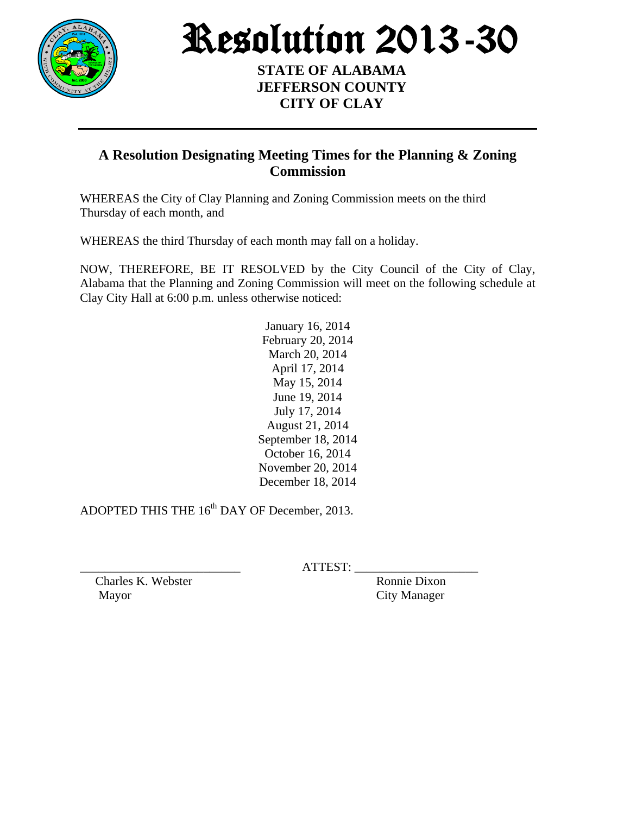

Resolution 2013-30

## **STATE OF ALABAMA JEFFERSON COUNTY CITY OF CLAY**

## **A Resolution Designating Meeting Times for the Planning & Zoning Commission**

WHEREAS the City of Clay Planning and Zoning Commission meets on the third Thursday of each month, and

WHEREAS the third Thursday of each month may fall on a holiday.

NOW, THEREFORE, BE IT RESOLVED by the City Council of the City of Clay, Alabama that the Planning and Zoning Commission will meet on the following schedule at Clay City Hall at 6:00 p.m. unless otherwise noticed:

> January 16, 2014 February 20, 2014 March 20, 2014 April 17, 2014 May 15, 2014 June 19, 2014 July 17, 2014 August 21, 2014 September 18, 2014 October 16, 2014 November 20, 2014 December 18, 2014

ADOPTED THIS THE 16<sup>th</sup> DAY OF December, 2013.

 $ATTEST:$ 

Charles K. Webster Ronnie Dixon Mayor City Manager